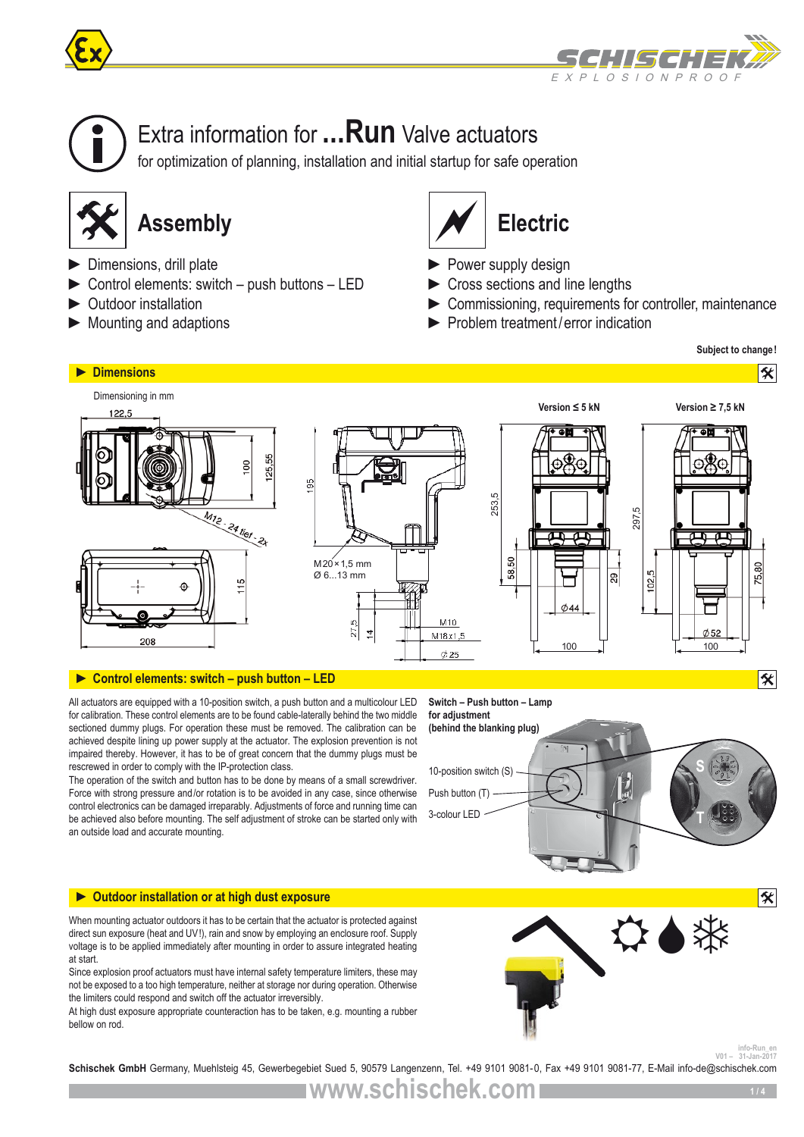





# Extra information for **...Run** Valve actuators

for optimization of planning, installation and initial startup for safe operation



- ► Dimensions, drill plate
- ► Control elements: switch push buttons LED
- ► Outdoor installation
- $\blacktriangleright$  Mounting and adaptions



- ► Power supply design
- ► Cross sections and line lengths
- ► Commissioning, requirements for controller, maintenance
- ► Problem treatment/error indication

**Subject to change!**



# **► Control elements: switch – push button – LED**

All actuators are equipped with a 10-position switch, a push button and a multicolour LED for calibration. These control elements are to be found cable-laterally behind the two middle sectioned dummy plugs. For operation these must be removed. The calibration can be achieved despite lining up power supply at the actuator. The explosion prevention is not impaired thereby. However, it has to be of great concern that the dummy plugs must be rescrewed in order to comply with the IP-protection class.

The operation of the switch and button has to be done by means of a small screwdriver. Force with strong pressure and/or rotation is to be avoided in any case, since otherwise control electronics can be damaged irreparably. Adjustments of force and running time can be achieved also before mounting. The self adjustment of stroke can be started only with an outside load and accurate mounting.



# **► Outdoor installation or at high dust exposure**

When mounting actuator outdoors it has to be certain that the actuator is protected against direct sun exposure (heat and UV!), rain and snow by employing an enclosure roof. Supply voltage is to be applied immediately after mounting in order to assure integrated heating at start.

Since explosion proof actuators must have internal safety temperature limiters, these may not be exposed to a too high temperature, neither at storage nor during operation. Otherwise the limiters could respond and switch off the actuator irreversibly.

At high dust exposure appropriate counteraction has to be taken, e.g. mounting a rubber bellow on rod.



**info-Run\_en**<br>31-Jan-2017

**Schischek GmbH** Germany, Muehlsteig 45, Gewerbegebiet Sued 5, 90579 Langenzenn, Tel. +49 9101 9081-0, Fax +49 9101 9081-77, E-Mail info-de@schischek.com **info-Run\_en**

**www.schischek.com**

8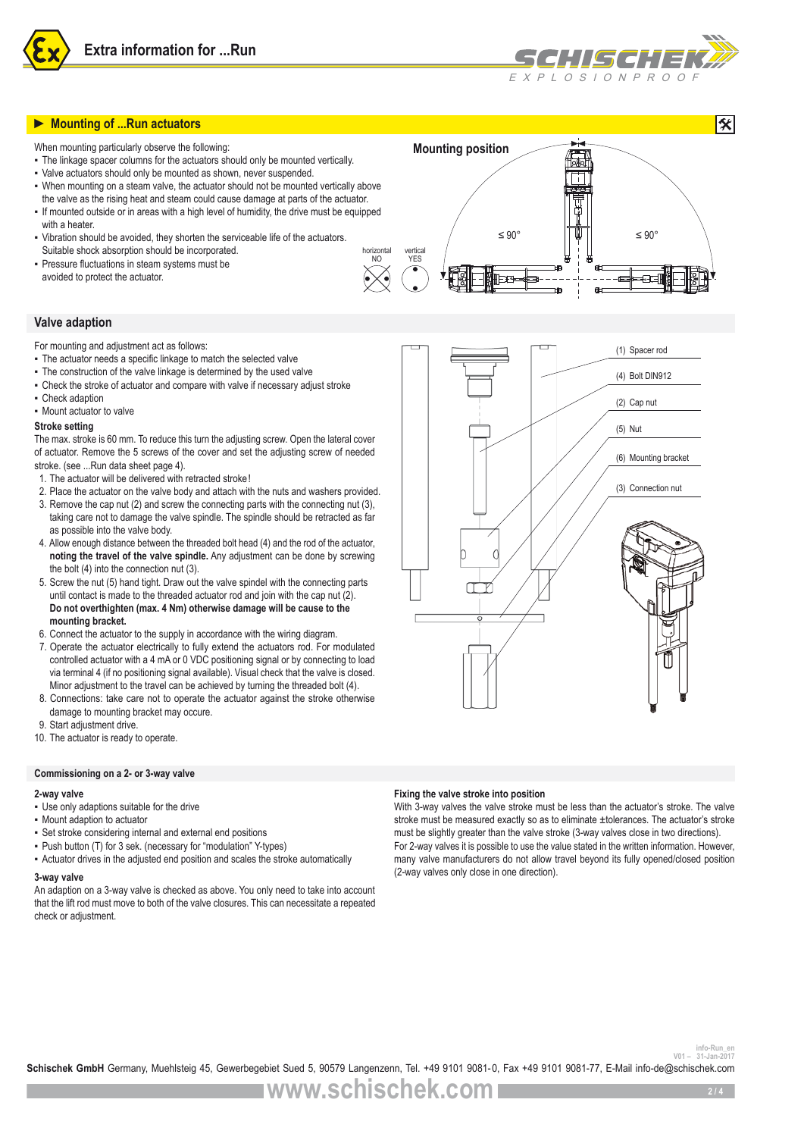



# **► Mounting of ...Run actuators**

When mounting particularly observe the following:

- The linkage spacer columns for the actuators should only be mounted vertically.
- Valve actuators should only be mounted as shown, never suspended.
- When mounting on a steam valve, the actuator should not be mounted vertically above the valve as the rising heat and steam could cause damage at parts of the actuator.
- If mounted outside or in areas with a high level of humidity, the drive must be equipped with a heater
- Vibration should be avoided, they shorten the serviceable life of the actuators. Suitable shock absorption should be incorporated.
- Pressure fluctuations in steam systems must be avoided to protect the actuator.

# **Valve adaption**

For mounting and adjustment act as follows:

- The actuator needs a specific linkage to match the selected valve
- The construction of the valve linkage is determined by the used valve
- Check the stroke of actuator and compare with valve if necessary adjust stroke
- Check adaption
- Mount actuator to valve

### **Stroke setting**

The max. stroke is 60 mm. To reduce this turn the adjusting screw. Open the lateral cover of actuator. Remove the 5 screws of the cover and set the adjusting screw of needed stroke. (see ...Run data sheet page 4).

- 1. The actuator will be delivered with retracted stroke!
- 2. Place the actuator on the valve body and attach with the nuts and washers provided.
- 3. Remove the cap nut (2) and screw the connecting parts with the connecting nut (3), taking care not to damage the valve spindle. The spindle should be retracted as far as possible into the valve body.
- 4. Allow enough distance between the threaded bolt head (4) and the rod of the actuator, **noting the travel of the valve spindle.** Any adjustment can be done by screwing the bolt (4) into the connection nut (3).
- 5. Screw the nut (5) hand tight. Draw out the valve spindel with the connecting parts until contact is made to the threaded actuator rod and join with the cap nut (2). **Do not overthighten (max. 4 Nm) otherwise damage will be cause to the mounting bracket.**
- 6. Connect the actuator to the supply in accordance with the wiring diagram.
- 7. Operate the actuator electrically to fully extend the actuators rod. For modulated controlled actuator with a 4 mA or 0 VDC positioning signal or by connecting to load via terminal 4 (if no positioning signal available). Visual check that the valve is closed. Minor adjustment to the travel can be achieved by turning the threaded bolt (4).
- 8. Connections: take care not to operate the actuator against the stroke otherwise damage to mounting bracket may occure.
- 9. Start adjustment drive.
- 10. The actuator is ready to operate.

## **Commissioning on a 2- or 3-way valve**

#### **2-way valve**

- Use only adaptions suitable for the drive
- Mount adaption to actuator
- Set stroke considering internal and external end positions
- Push button (T) for 3 sek. (necessary for "modulation" Y-types)
- Actuator drives in the adjusted end position and scales the stroke automatically

### **3-way valve**

An adaption on a 3-way valve is checked as above. You only need to take into account that the lift rod must move to both of the valve closures. This can necessitate a repeated check or adjustment.





#### **Fixing the valve stroke into position**

With 3-way valves the valve stroke must be less than the actuator's stroke. The valve stroke must be measured exactly so as to eliminate ±tolerances. The actuator's stroke must be slightly greater than the valve stroke (3-way valves close in two directions). For 2-way valves it is possible to use the value stated in the written information. However, many valve manufacturers do not allow travel beyond its fully opened/closed position (2-way valves only close in one direction).

info-Run\_en<br><sup>31-Jan-2017</sup> - <sup>101</sup> - <sup>31-Jan-2017</sub><br>**Schischek GmbH** Germany, Muehlsteig 45, Gewerbegebiet Sued 5, 90579 Langenzenn, Tel. +49 9101 9081-0, Fax +49 9101 9081-77, E-Mail info-de@schischek.com</sup>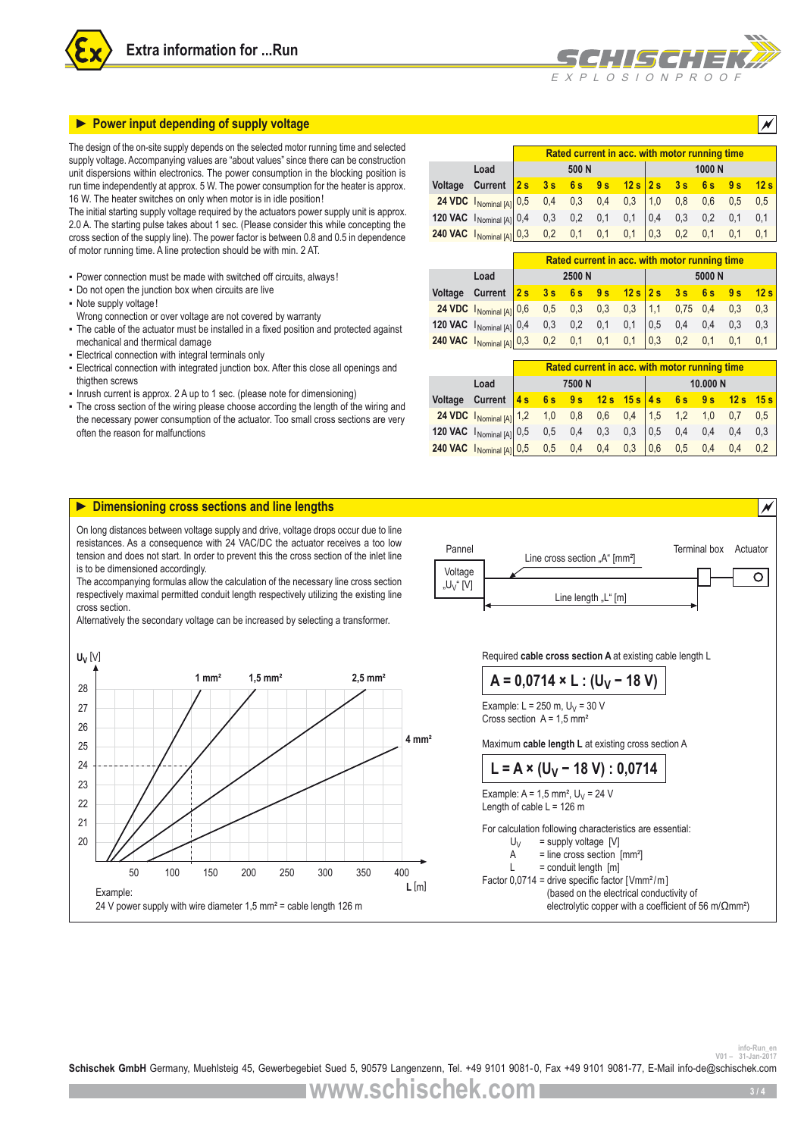



The design of the on-site supply depends on the selected motor running time and selected supply voltage. Accompanying values are "about values" since there can be construction unit dispersions within electronics. The power consumption in the blocking position is run time independently at approx. 5 W. The power consumption for the heater is approx. 16 W. The heater switches on only when motor is in idle position!

The initial starting supply voltage required by the actuators power supply unit is approx. 2.0 A. The starting pulse takes about 1 sec. (Please consider this while concepting the cross section of the supply line). The power factor is between 0.8 and 0.5 in dependence of motor running time. A line protection should be with min. 2 AT.

- Power connection must be made with switched off circuits, always!
- Do not open the junction box when circuits are live
- Note supply voltage!
- Wrong connection or over voltage are not covered by warranty
- The cable of the actuator must be installed in a fixed position and protected against mechanical and thermical damage
- **Electrical connection with integral terminals only**
- Electrical connection with integrated junction box. After this close all openings and thigthen screws
- Inrush current is approx. 2 A up to 1 sec. (please note for dimensioning)
- The cross section of the wiring please choose according the length of the wiring and the necessary power consumption of the actuator. Too small cross sections are very often the reason for malfunctions

|                                                                                                                                                             | Rated current in acc. with motor running time |  |       |  |  |  |  |           |     |      |
|-------------------------------------------------------------------------------------------------------------------------------------------------------------|-----------------------------------------------|--|-------|--|--|--|--|-----------|-----|------|
| Load                                                                                                                                                        |                                               |  | 500 N |  |  |  |  | 1000N     |     |      |
| Voltage Current $2s$ 3s 6s 9s 12s 2s 3s 6s 9s                                                                                                               |                                               |  |       |  |  |  |  |           |     | 12 s |
| <b>24 VDC</b> $I_{\text{Nominal [A]}}$ 0,5 0,4 0,3 0,4 0,3 1,0 0,8 0,6 0,5 1<br><b>120 VAC</b> $I_{\text{Nominal [A]}}$ 0,4 0,3 0,2 0,1 0,1 0,4 0,3 0,2 0,1 |                                               |  |       |  |  |  |  |           |     | 0,5  |
|                                                                                                                                                             |                                               |  |       |  |  |  |  |           |     | 0,1  |
| <b>240 VAC</b> $\begin{bmatrix} N_{\text{O}} & 0.3 & 0.2 & 0.1 & 0.1 & 0.1 \end{bmatrix}$ 0.3                                                               |                                               |  |       |  |  |  |  | $0,2$ 0,1 | 0,1 | 0,1  |

 $X$  P  $\cup$  O  $S$   $\cup$  O  $N$  P  $R$  O

|                                                                                                                  |  |        |  |     | Rated current in acc. with motor running time |       |               |      |
|------------------------------------------------------------------------------------------------------------------|--|--------|--|-----|-----------------------------------------------|-------|---------------|------|
| Load                                                                                                             |  | 2500 N |  |     |                                               | 5000N |               |      |
| Voltage Current $2s$ 3s 6s 9s 12s 2s 3s 6s 9s                                                                    |  |        |  |     |                                               |       |               | 12 s |
| <b>24 VDC</b> $\begin{bmatrix} \text{Normal} & 0.6 \\ 0.6 \\ 0.5 \end{bmatrix}$ 0.5 0.3 0.3 0.3 1.1 0.75 0.4 0.3 |  |        |  |     |                                               |       |               | 0,3  |
| <b>120 VAC</b> $\begin{bmatrix} N_{\text{Ominal}}[\text{A}] \end{bmatrix}$ 0,4 0,3 0,2 0,1 0,1 0,5               |  |        |  |     |                                               |       | $0,4$ 0,4 0,3 | 0,3  |
| <b>240 VAC</b> $\left  \right _{\text{Nominal [A]}}\right $ 0,3 0,2 0,1 0,1 0,1                                  |  |        |  | 0,3 | $0.2 \quad 0.1$                               |       | 0.1           |      |

|                                                                                                                                                                                                                              |  |       | Rated current in acc. with motor running time |  |          |  |
|------------------------------------------------------------------------------------------------------------------------------------------------------------------------------------------------------------------------------|--|-------|-----------------------------------------------|--|----------|--|
| Load                                                                                                                                                                                                                         |  | 7500N |                                               |  | 10.000 N |  |
| Voltage Current $4s$ 6s 9s 12s 15s $4s$ 6s 9s 12s 15s                                                                                                                                                                        |  |       |                                               |  |          |  |
| <b>24 VDC</b> $I_{\text{Nominal [A]}}$ 1,2 1,0 0,8 0,6 0,4 1,5 1,2 1,0 0,7 0,5                                                                                                                                               |  |       |                                               |  |          |  |
| <b>120 VAC</b> $\begin{bmatrix} 1 \\ \text{Normal}[A] \end{bmatrix}$ 0,5 0,5 0,4 0,3 0,3 0,5 0,4 0,4 0,4 0,3<br><b>240 VAC</b> $\begin{bmatrix} 1 \\ \text{Normal}[A] \end{bmatrix}$ 0,5 0,5 0,4 0,4 0,3 0,6 0,5 0,4 0,4 0,2 |  |       |                                               |  |          |  |
| 240 VAC INominal [A] 0,5 0,5 0,4 0,4 0,3 0,6 0,5 0,4 0,4                                                                                                                                                                     |  |       |                                               |  |          |  |



24 V power supply with wire diameter 1,5 mm² = cable length 126 m

electrolytic copper with a coefficient of 56 m/ $\Omega$ mm<sup>2</sup>)

info-Run\_en<br><sup>31-Jan-2017</sup> - <sup>101</sup>- <sup>31-Jan-2017</sub><br>**Schischek GmbH** Germany, Muehlsteig 45, Gewerbegebiet Sued 5, 90579 Langenzenn, Tel. +49 9101 9081-0, Fax +49 9101 9081-77, E-Mail info-de@schischek.com</sup>

**www.schischek.com**